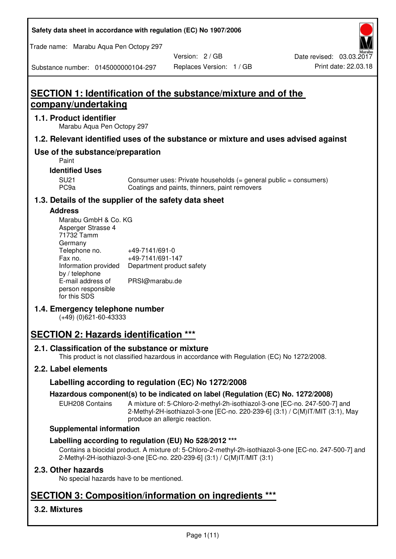**Safety data sheet in accordance with regulation (EC) No 1907/2006** 

Trade name: Marabu Aqua Pen Octopy 297

Version: 2 / GB

Substance number: 0145000000104-297

# **SECTION 1: Identification of the substance/mixture and of the company/undertaking**

## **1.1. Product identifier**

Marabu Aqua Pen Octopy 297

### **1.2. Relevant identified uses of the substance or mixture and uses advised against**

## **Use of the substance/preparation**

Paint

## **Identified Uses**

SU21 Consumer uses: Private households (= general public = consumers)<br>PC9a Coatings and paints, thinners, paint removers Coatings and paints, thinners, paint removers

## **1.3. Details of the supplier of the safety data sheet**

#### **Address**

| Marabu GmbH & Co. KG |                           |
|----------------------|---------------------------|
| Asperger Strasse 4   |                           |
| 71732 Tamm           |                           |
| Germany              |                           |
| Telephone no.        | +49-7141/691-0            |
| Fax no.              | +49-7141/691-147          |
| Information provided | Department product safety |
| by / telephone       |                           |
| E-mail address of    | PRSI@marabu.de            |
| person responsible   |                           |
| for this SDS         |                           |

## **1.4. Emergency telephone number**

(+49) (0)621-60-43333

# **SECTION 2: Hazards identification \*\*\***

## **2.1. Classification of the substance or mixture**

This product is not classified hazardous in accordance with Regulation (EC) No 1272/2008.

## **2.2. Label elements**

## **Labelling according to regulation (EC) No 1272/2008**

## **Hazardous component(s) to be indicated on label (Regulation (EC) No. 1272/2008)**

EUH208 Contains A mixture of: 5-Chloro-2-methyl-2h-isothiazol-3-one [EC-no. 247-500-7] and 2-Methyl-2H-isothiazol-3-one [EC-no. 220-239-6] (3:1) / C(M)IT/MIT (3:1), May produce an allergic reaction.

#### **Supplemental information**

## **Labelling according to regulation (EU) No 528/2012 \*\*\***

Contains a biocidal product. A mixture of: 5-Chloro-2-methyl-2h-isothiazol-3-one [EC-no. 247-500-7] and 2-Methyl-2H-isothiazol-3-one [EC-no. 220-239-6] (3:1) / C(M)IT/MIT (3:1)

## **2.3. Other hazards**

No special hazards have to be mentioned.

# **SECTION 3: Composition/information on ingredients \*\*\***

## **3.2. Mixtures**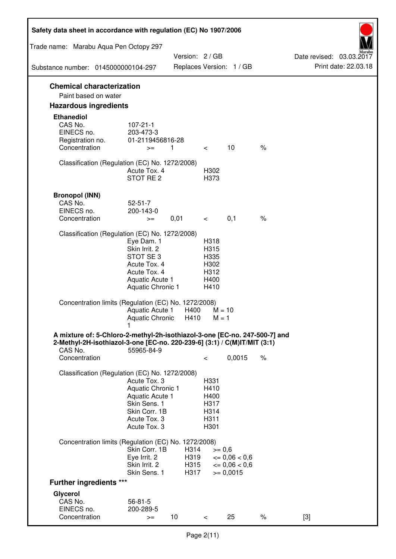| Safety data sheet in accordance with regulation (EC) No 1907/2006                                                                                                 |                                                                                                                         |                              |                                                      |                                                                  |      |                                                  |
|-------------------------------------------------------------------------------------------------------------------------------------------------------------------|-------------------------------------------------------------------------------------------------------------------------|------------------------------|------------------------------------------------------|------------------------------------------------------------------|------|--------------------------------------------------|
| Trade name: Marabu Aqua Pen Octopy 297                                                                                                                            |                                                                                                                         |                              |                                                      |                                                                  |      |                                                  |
| Substance number: 0145000000104-297                                                                                                                               |                                                                                                                         | Version: 2 / GB              |                                                      | Replaces Version: 1 / GB                                         |      | Date revised: 03.03.2017<br>Print date: 22.03.18 |
| <b>Chemical characterization</b>                                                                                                                                  |                                                                                                                         |                              |                                                      |                                                                  |      |                                                  |
| Paint based on water                                                                                                                                              |                                                                                                                         |                              |                                                      |                                                                  |      |                                                  |
| <b>Hazardous ingredients</b>                                                                                                                                      |                                                                                                                         |                              |                                                      |                                                                  |      |                                                  |
| <b>Ethanediol</b><br>CAS No.<br>EINECS no.<br>Registration no.<br>Concentration                                                                                   | $107 - 21 - 1$<br>203-473-3<br>01-2119456816-28<br>$>=$                                                                 | 1                            | $\overline{\phantom{0}}$                             | 10                                                               | $\%$ |                                                  |
| Classification (Regulation (EC) No. 1272/2008)                                                                                                                    | Acute Tox. 4<br>STOT RE 2                                                                                               |                              | H302<br>H373                                         |                                                                  |      |                                                  |
| <b>Bronopol (INN)</b><br>CAS No.<br>EINECS no.<br>Concentration                                                                                                   | $52 - 51 - 7$<br>200-143-0<br>$>=$                                                                                      | 0,01                         | $\prec$ and $\sim$                                   | 0,1                                                              | $\%$ |                                                  |
| Classification (Regulation (EC) No. 1272/2008)                                                                                                                    |                                                                                                                         |                              |                                                      |                                                                  |      |                                                  |
|                                                                                                                                                                   | Eye Dam. 1<br>Skin Irrit. 2<br>STOT SE 3<br>Acute Tox. 4<br>Acute Tox. 4<br>Aquatic Acute 1<br><b>Aquatic Chronic 1</b> |                              | H318<br>H315<br>H335<br>H302<br>H312<br>H400<br>H410 |                                                                  |      |                                                  |
| Concentration limits (Regulation (EC) No. 1272/2008)                                                                                                              | Aquatic Acute 1<br>Aquatic Chronic H410                                                                                 | H400                         | $M = 10$<br>$M = 1$                                  |                                                                  |      |                                                  |
| A mixture of: 5-Chloro-2-methyl-2h-isothiazol-3-one [EC-no. 247-500-7] and<br>2-Methyl-2H-isothiazol-3-one [EC-no. 220-239-6] (3:1) / C(M)IT/MIT (3:1)<br>CAS No. | 55965-84-9                                                                                                              |                              |                                                      |                                                                  |      |                                                  |
| Concentration                                                                                                                                                     |                                                                                                                         |                              | $\,<\,$                                              | 0,0015                                                           | $\%$ |                                                  |
| Classification (Regulation (EC) No. 1272/2008)                                                                                                                    | Acute Tox. 3<br>Aquatic Chronic 1<br>Aquatic Acute 1<br>Skin Sens. 1<br>Skin Corr. 1B<br>Acute Tox. 3<br>Acute Tox. 3   |                              | H331<br>H410<br>H400<br>H317<br>H314<br>H311<br>H301 |                                                                  |      |                                                  |
| Concentration limits (Regulation (EC) No. 1272/2008)                                                                                                              |                                                                                                                         |                              |                                                      |                                                                  |      |                                                  |
|                                                                                                                                                                   | Skin Corr. 1B<br>Eye Irrit. 2<br>Skin Irrit. 2<br>Skin Sens. 1                                                          | H314<br>H319<br>H315<br>H317 | $>= 0,6$                                             | $\epsilon = 0.06 < 0.6$<br>$\epsilon = 0.06 < 0.6$<br>$= 0,0015$ |      |                                                  |
| <b>Further ingredients ***</b>                                                                                                                                    |                                                                                                                         |                              |                                                      |                                                                  |      |                                                  |
| Glycerol<br>CAS No.<br>EINECS no.<br>Concentration                                                                                                                | $56 - 81 - 5$<br>200-289-5<br>$>=$                                                                                      | 10 <sup>°</sup>              | $\,<\,$                                              | 25                                                               | $\%$ | $[3]$                                            |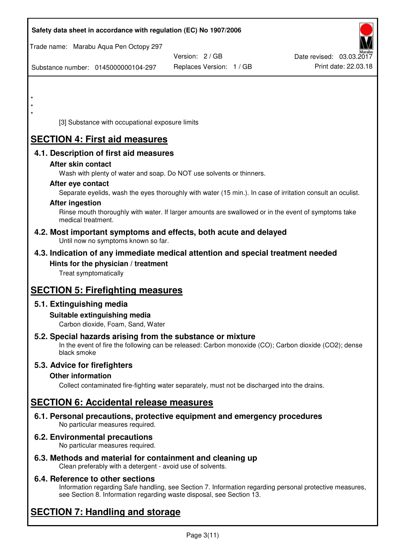| Safety data sheet in accordance with regulation (EC) No 1907/2006                                                                                                                  |                          |                          |
|------------------------------------------------------------------------------------------------------------------------------------------------------------------------------------|--------------------------|--------------------------|
| Trade name: Marabu Aqua Pen Octopy 297                                                                                                                                             | Version: 2 / GB          | Date revised: 03.03.2017 |
| Substance number: 0145000000104-297                                                                                                                                                | Replaces Version: 1 / GB | Print date: 22.03.18     |
|                                                                                                                                                                                    |                          |                          |
|                                                                                                                                                                                    |                          |                          |
| $\star$                                                                                                                                                                            |                          |                          |
| [3] Substance with occupational exposure limits                                                                                                                                    |                          |                          |
| <b>SECTION 4: First aid measures</b>                                                                                                                                               |                          |                          |
| 4.1. Description of first aid measures                                                                                                                                             |                          |                          |
| After skin contact<br>Wash with plenty of water and soap. Do NOT use solvents or thinners.                                                                                         |                          |                          |
| After eye contact                                                                                                                                                                  |                          |                          |
| Separate eyelids, wash the eyes thoroughly with water (15 min.). In case of irritation consult an oculist.<br><b>After ingestion</b>                                               |                          |                          |
| Rinse mouth thoroughly with water. If larger amounts are swallowed or in the event of symptoms take<br>medical treatment.                                                          |                          |                          |
| 4.2. Most important symptoms and effects, both acute and delayed<br>Until now no symptoms known so far.                                                                            |                          |                          |
| 4.3. Indication of any immediate medical attention and special treatment needed                                                                                                    |                          |                          |
| Hints for the physician / treatment<br>Treat symptomatically                                                                                                                       |                          |                          |
| <b>SECTION 5: Firefighting measures</b>                                                                                                                                            |                          |                          |
| 5.1. Extinguishing media                                                                                                                                                           |                          |                          |
| Suitable extinguishing media<br>Carbon dioxide, Foam, Sand, Water                                                                                                                  |                          |                          |
| 5.2. Special hazards arising from the substance or mixture<br>In the event of fire the following can be released: Carbon monoxide (CO); Carbon dioxide (CO2); dense<br>black smoke |                          |                          |
| 5.3. Advice for firefighters                                                                                                                                                       |                          |                          |
| <b>Other information</b><br>Collect contaminated fire-fighting water separately, must not be discharged into the drains.                                                           |                          |                          |
| <b>SECTION 6: Accidental release measures</b>                                                                                                                                      |                          |                          |
| 6.1. Personal precautions, protective equipment and emergency procedures<br>No particular measures required.                                                                       |                          |                          |
| 6.2. Environmental precautions<br>No particular measures required.                                                                                                                 |                          |                          |
|                                                                                                                                                                                    |                          |                          |

**6.3. Methods and material for containment and cleaning up**  Clean preferably with a detergent - avoid use of solvents.

## **6.4. Reference to other sections**

Information regarding Safe handling, see Section 7. Information regarding personal protective measures, see Section 8. Information regarding waste disposal, see Section 13.

# **SECTION 7: Handling and storage**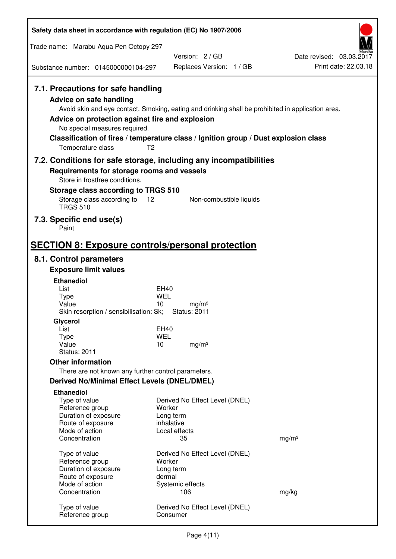| Safety data sheet in accordance with regulation (EC) No 1907/2006                                                                                                             |                                                                                                                                                                                                            |                                                  |
|-------------------------------------------------------------------------------------------------------------------------------------------------------------------------------|------------------------------------------------------------------------------------------------------------------------------------------------------------------------------------------------------------|--------------------------------------------------|
| Trade name: Marabu Aqua Pen Octopy 297                                                                                                                                        |                                                                                                                                                                                                            |                                                  |
| Substance number: 0145000000104-297                                                                                                                                           | Version: 2/GB<br>Replaces Version: 1 / GB                                                                                                                                                                  | Date revised: 03.03.2017<br>Print date: 22.03.18 |
| 7.1. Precautions for safe handling<br><b>Advice on safe handling</b><br>Advice on protection against fire and explosion<br>No special measures required.<br>Temperature class | Avoid skin and eye contact. Smoking, eating and drinking shall be prohibited in application area.<br>Classification of fires / temperature class / Ignition group / Dust explosion class<br>T <sub>2</sub> |                                                  |
| 7.2. Conditions for safe storage, including any incompatibilities<br>Requirements for storage rooms and vessels<br>Store in frostfree conditions.                             |                                                                                                                                                                                                            |                                                  |
| Storage class according to TRGS 510<br>Storage class according to<br><b>TRGS 510</b>                                                                                          | 12<br>Non-combustible liquids                                                                                                                                                                              |                                                  |
| 7.3. Specific end use(s)<br>Paint                                                                                                                                             |                                                                                                                                                                                                            |                                                  |
| <b>SECTION 8: Exposure controls/personal protection</b>                                                                                                                       |                                                                                                                                                                                                            |                                                  |
| 8.1. Control parameters                                                                                                                                                       |                                                                                                                                                                                                            |                                                  |
| <b>Exposure limit values</b>                                                                                                                                                  |                                                                                                                                                                                                            |                                                  |
| <b>Ethanediol</b>                                                                                                                                                             |                                                                                                                                                                                                            |                                                  |
| List<br><b>Type</b>                                                                                                                                                           | EH40<br><b>WEL</b>                                                                                                                                                                                         |                                                  |
| Value<br>Skin resorption / sensibilisation: Sk;                                                                                                                               | 10<br>mg/m <sup>3</sup><br><b>Status: 2011</b>                                                                                                                                                             |                                                  |
| Glycerol                                                                                                                                                                      |                                                                                                                                                                                                            |                                                  |
| List                                                                                                                                                                          | EH40                                                                                                                                                                                                       |                                                  |
| <b>Type</b><br>Value                                                                                                                                                          | <b>WEL</b><br>10<br>mg/m <sup>3</sup>                                                                                                                                                                      |                                                  |
| <b>Status: 2011</b>                                                                                                                                                           |                                                                                                                                                                                                            |                                                  |
| <b>Other information</b>                                                                                                                                                      |                                                                                                                                                                                                            |                                                  |
| There are not known any further control parameters.                                                                                                                           |                                                                                                                                                                                                            |                                                  |
| Derived No/Minimal Effect Levels (DNEL/DMEL)                                                                                                                                  |                                                                                                                                                                                                            |                                                  |
| <b>Ethanediol</b>                                                                                                                                                             |                                                                                                                                                                                                            |                                                  |
| Type of value                                                                                                                                                                 | Derived No Effect Level (DNEL)                                                                                                                                                                             |                                                  |
| Reference group<br>Duration of exposure                                                                                                                                       | Worker<br>Long term                                                                                                                                                                                        |                                                  |
| Route of exposure                                                                                                                                                             | inhalative                                                                                                                                                                                                 |                                                  |
| Mode of action                                                                                                                                                                | Local effects                                                                                                                                                                                              |                                                  |
| Concentration                                                                                                                                                                 | 35                                                                                                                                                                                                         | mg/m <sup>3</sup>                                |
| Type of value                                                                                                                                                                 | Derived No Effect Level (DNEL)                                                                                                                                                                             |                                                  |
| Reference group                                                                                                                                                               | Worker                                                                                                                                                                                                     |                                                  |
| Duration of exposure                                                                                                                                                          | Long term                                                                                                                                                                                                  |                                                  |
| Route of exposure<br>Mode of action                                                                                                                                           | dermal<br>Systemic effects                                                                                                                                                                                 |                                                  |
| Concentration                                                                                                                                                                 | 106                                                                                                                                                                                                        | mg/kg                                            |
| Type of value<br>Reference group                                                                                                                                              | Derived No Effect Level (DNEL)<br>Consumer                                                                                                                                                                 |                                                  |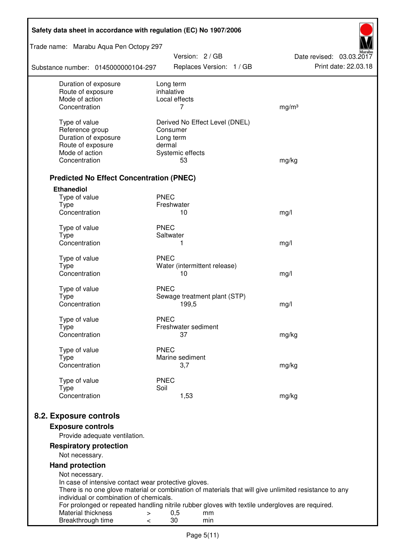| Trade name: Marabu Aqua Pen Octopy 297<br>Version: 2 / GB<br>Date revised: 03.03.2017<br>Print date: 22.03.18<br>Replaces Version: 1 / GB<br>Substance number: 0145000000104-297<br>Duration of exposure<br>Long term<br>inhalative<br>Route of exposure<br>Mode of action<br>Local effects<br>Concentration<br>7<br>mg/m <sup>3</sup><br>Type of value<br>Derived No Effect Level (DNEL)<br>Reference group<br>Consumer<br>Duration of exposure<br>Long term<br>Route of exposure<br>dermal<br>Mode of action<br>Systemic effects<br>Concentration<br>53<br>mg/kg |
|--------------------------------------------------------------------------------------------------------------------------------------------------------------------------------------------------------------------------------------------------------------------------------------------------------------------------------------------------------------------------------------------------------------------------------------------------------------------------------------------------------------------------------------------------------------------|
|                                                                                                                                                                                                                                                                                                                                                                                                                                                                                                                                                                    |
|                                                                                                                                                                                                                                                                                                                                                                                                                                                                                                                                                                    |
|                                                                                                                                                                                                                                                                                                                                                                                                                                                                                                                                                                    |
|                                                                                                                                                                                                                                                                                                                                                                                                                                                                                                                                                                    |
|                                                                                                                                                                                                                                                                                                                                                                                                                                                                                                                                                                    |
|                                                                                                                                                                                                                                                                                                                                                                                                                                                                                                                                                                    |
|                                                                                                                                                                                                                                                                                                                                                                                                                                                                                                                                                                    |
|                                                                                                                                                                                                                                                                                                                                                                                                                                                                                                                                                                    |
|                                                                                                                                                                                                                                                                                                                                                                                                                                                                                                                                                                    |
|                                                                                                                                                                                                                                                                                                                                                                                                                                                                                                                                                                    |
|                                                                                                                                                                                                                                                                                                                                                                                                                                                                                                                                                                    |
| <b>Predicted No Effect Concentration (PNEC)</b>                                                                                                                                                                                                                                                                                                                                                                                                                                                                                                                    |
| <b>Ethanediol</b>                                                                                                                                                                                                                                                                                                                                                                                                                                                                                                                                                  |
| <b>PNEC</b><br>Type of value                                                                                                                                                                                                                                                                                                                                                                                                                                                                                                                                       |
| <b>Type</b><br>Freshwater                                                                                                                                                                                                                                                                                                                                                                                                                                                                                                                                          |
| Concentration<br>10<br>mg/l                                                                                                                                                                                                                                                                                                                                                                                                                                                                                                                                        |
| <b>PNEC</b><br>Type of value                                                                                                                                                                                                                                                                                                                                                                                                                                                                                                                                       |
| <b>Type</b><br>Saltwater                                                                                                                                                                                                                                                                                                                                                                                                                                                                                                                                           |
| Concentration<br>1<br>mg/l                                                                                                                                                                                                                                                                                                                                                                                                                                                                                                                                         |
| <b>PNEC</b><br>Type of value                                                                                                                                                                                                                                                                                                                                                                                                                                                                                                                                       |
| <b>Type</b><br>Water (intermittent release)                                                                                                                                                                                                                                                                                                                                                                                                                                                                                                                        |
| Concentration<br>10<br>mg/l                                                                                                                                                                                                                                                                                                                                                                                                                                                                                                                                        |
| <b>PNEC</b><br>Type of value                                                                                                                                                                                                                                                                                                                                                                                                                                                                                                                                       |
| <b>Type</b><br>Sewage treatment plant (STP)                                                                                                                                                                                                                                                                                                                                                                                                                                                                                                                        |
| Concentration<br>199,5<br>mg/l                                                                                                                                                                                                                                                                                                                                                                                                                                                                                                                                     |
|                                                                                                                                                                                                                                                                                                                                                                                                                                                                                                                                                                    |
| Type of value<br><b>PNEC</b><br>Freshwater sediment                                                                                                                                                                                                                                                                                                                                                                                                                                                                                                                |
| Type<br>Concentration<br>37<br>mg/kg                                                                                                                                                                                                                                                                                                                                                                                                                                                                                                                               |
|                                                                                                                                                                                                                                                                                                                                                                                                                                                                                                                                                                    |
| <b>PNEC</b><br>Type of value                                                                                                                                                                                                                                                                                                                                                                                                                                                                                                                                       |
| Marine sediment<br>Type<br>Concentration<br>3,7<br>mg/kg                                                                                                                                                                                                                                                                                                                                                                                                                                                                                                           |
|                                                                                                                                                                                                                                                                                                                                                                                                                                                                                                                                                                    |
| Type of value<br><b>PNEC</b>                                                                                                                                                                                                                                                                                                                                                                                                                                                                                                                                       |
| Soil<br><b>Type</b><br>Concentration<br>1,53<br>mg/kg                                                                                                                                                                                                                                                                                                                                                                                                                                                                                                              |
|                                                                                                                                                                                                                                                                                                                                                                                                                                                                                                                                                                    |
| 8.2. Exposure controls                                                                                                                                                                                                                                                                                                                                                                                                                                                                                                                                             |
| <b>Exposure controls</b>                                                                                                                                                                                                                                                                                                                                                                                                                                                                                                                                           |
| Provide adequate ventilation.                                                                                                                                                                                                                                                                                                                                                                                                                                                                                                                                      |
| <b>Respiratory protection</b>                                                                                                                                                                                                                                                                                                                                                                                                                                                                                                                                      |
| Not necessary.                                                                                                                                                                                                                                                                                                                                                                                                                                                                                                                                                     |
| <b>Hand protection</b>                                                                                                                                                                                                                                                                                                                                                                                                                                                                                                                                             |
| Not necessary.<br>In case of intensive contact wear protective gloves.                                                                                                                                                                                                                                                                                                                                                                                                                                                                                             |
| There is no one glove material or combination of materials that will give unlimited resistance to any                                                                                                                                                                                                                                                                                                                                                                                                                                                              |
| individual or combination of chemicals.                                                                                                                                                                                                                                                                                                                                                                                                                                                                                                                            |
| For prolonged or repeated handling nitrile rubber gloves with textile undergloves are required.<br>Material thickness<br>0,5<br>mm<br>$\, > \,$                                                                                                                                                                                                                                                                                                                                                                                                                    |
| 30<br>Breakthrough time<br>min<br>$\,<\,$                                                                                                                                                                                                                                                                                                                                                                                                                                                                                                                          |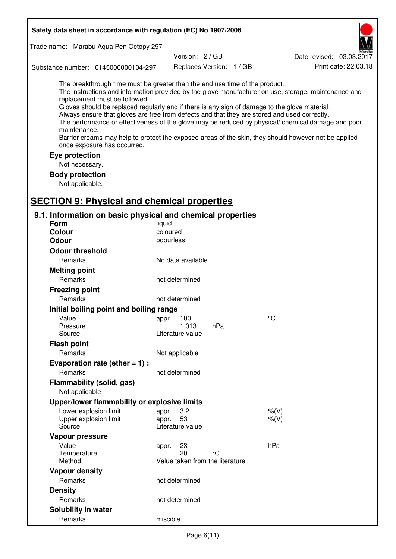| Safety data sheet in accordance with regulation (EC) No 1907/2006                                                                                                                                                                                                                                                                                                                                |                                 |                                 |                                                                                                                                                                                                                                                                                                                    |  |
|--------------------------------------------------------------------------------------------------------------------------------------------------------------------------------------------------------------------------------------------------------------------------------------------------------------------------------------------------------------------------------------------------|---------------------------------|---------------------------------|--------------------------------------------------------------------------------------------------------------------------------------------------------------------------------------------------------------------------------------------------------------------------------------------------------------------|--|
| Trade name: Marabu Aqua Pen Octopy 297                                                                                                                                                                                                                                                                                                                                                           |                                 |                                 |                                                                                                                                                                                                                                                                                                                    |  |
|                                                                                                                                                                                                                                                                                                                                                                                                  | Version: 2 / GB                 |                                 | Date revised: 03.03.2017                                                                                                                                                                                                                                                                                           |  |
| Substance number: 0145000000104-297                                                                                                                                                                                                                                                                                                                                                              |                                 | Replaces Version: 1 / GB        | Print date: 22.03.18                                                                                                                                                                                                                                                                                               |  |
| The breakthrough time must be greater than the end use time of the product.<br>replacement must be followed.<br>Gloves should be replaced regularly and if there is any sign of damage to the glove material.<br>Always ensure that gloves are free from defects and that they are stored and used correctly.<br>maintenance.<br>once exposure has occurred.<br>Eye protection<br>Not necessary. |                                 |                                 | The instructions and information provided by the glove manufacturer on use, storage, maintenance and<br>The performance or effectiveness of the glove may be reduced by physical/ chemical damage and poor<br>Barrier creams may help to protect the exposed areas of the skin, they should however not be applied |  |
| <b>Body protection</b>                                                                                                                                                                                                                                                                                                                                                                           |                                 |                                 |                                                                                                                                                                                                                                                                                                                    |  |
| Not applicable.                                                                                                                                                                                                                                                                                                                                                                                  |                                 |                                 |                                                                                                                                                                                                                                                                                                                    |  |
|                                                                                                                                                                                                                                                                                                                                                                                                  |                                 |                                 |                                                                                                                                                                                                                                                                                                                    |  |
| <b>SECTION 9: Physical and chemical properties</b>                                                                                                                                                                                                                                                                                                                                               |                                 |                                 |                                                                                                                                                                                                                                                                                                                    |  |
| 9.1. Information on basic physical and chemical properties                                                                                                                                                                                                                                                                                                                                       |                                 |                                 |                                                                                                                                                                                                                                                                                                                    |  |
| <b>Form</b><br><b>Colour</b>                                                                                                                                                                                                                                                                                                                                                                     | liquid<br>coloured              |                                 |                                                                                                                                                                                                                                                                                                                    |  |
| <b>Odour</b>                                                                                                                                                                                                                                                                                                                                                                                     | odourless                       |                                 |                                                                                                                                                                                                                                                                                                                    |  |
| <b>Odour threshold</b>                                                                                                                                                                                                                                                                                                                                                                           |                                 |                                 |                                                                                                                                                                                                                                                                                                                    |  |
| Remarks                                                                                                                                                                                                                                                                                                                                                                                          | No data available               |                                 |                                                                                                                                                                                                                                                                                                                    |  |
| <b>Melting point</b>                                                                                                                                                                                                                                                                                                                                                                             |                                 |                                 |                                                                                                                                                                                                                                                                                                                    |  |
| Remarks                                                                                                                                                                                                                                                                                                                                                                                          | not determined                  |                                 |                                                                                                                                                                                                                                                                                                                    |  |
| <b>Freezing point</b>                                                                                                                                                                                                                                                                                                                                                                            |                                 |                                 |                                                                                                                                                                                                                                                                                                                    |  |
| Remarks                                                                                                                                                                                                                                                                                                                                                                                          | not determined                  |                                 |                                                                                                                                                                                                                                                                                                                    |  |
| Initial boiling point and boiling range                                                                                                                                                                                                                                                                                                                                                          |                                 |                                 |                                                                                                                                                                                                                                                                                                                    |  |
| Value                                                                                                                                                                                                                                                                                                                                                                                            | appr. 100                       |                                 | $\rm ^{\circ}C$                                                                                                                                                                                                                                                                                                    |  |
| Pressure                                                                                                                                                                                                                                                                                                                                                                                         | 1.013                           | hPa                             |                                                                                                                                                                                                                                                                                                                    |  |
| Source                                                                                                                                                                                                                                                                                                                                                                                           | Literature value                |                                 |                                                                                                                                                                                                                                                                                                                    |  |
| <b>Flash point</b>                                                                                                                                                                                                                                                                                                                                                                               |                                 |                                 |                                                                                                                                                                                                                                                                                                                    |  |
| Remarks                                                                                                                                                                                                                                                                                                                                                                                          | Not applicable                  |                                 |                                                                                                                                                                                                                                                                                                                    |  |
| Evaporation rate (ether $= 1$ ) :                                                                                                                                                                                                                                                                                                                                                                |                                 |                                 |                                                                                                                                                                                                                                                                                                                    |  |
| Remarks                                                                                                                                                                                                                                                                                                                                                                                          | not determined                  |                                 |                                                                                                                                                                                                                                                                                                                    |  |
| Flammability (solid, gas)                                                                                                                                                                                                                                                                                                                                                                        |                                 |                                 |                                                                                                                                                                                                                                                                                                                    |  |
| Not applicable                                                                                                                                                                                                                                                                                                                                                                                   |                                 |                                 |                                                                                                                                                                                                                                                                                                                    |  |
| Upper/lower flammability or explosive limits                                                                                                                                                                                                                                                                                                                                                     |                                 |                                 |                                                                                                                                                                                                                                                                                                                    |  |
| Lower explosion limit                                                                                                                                                                                                                                                                                                                                                                            | 3,2<br>appr.                    |                                 | $%$ (V)                                                                                                                                                                                                                                                                                                            |  |
| Upper explosion limit<br>Source                                                                                                                                                                                                                                                                                                                                                                  | 53<br>appr.<br>Literature value |                                 | $%$ (V)                                                                                                                                                                                                                                                                                                            |  |
|                                                                                                                                                                                                                                                                                                                                                                                                  |                                 |                                 |                                                                                                                                                                                                                                                                                                                    |  |
| Vapour pressure<br>Value                                                                                                                                                                                                                                                                                                                                                                         | 23                              |                                 | hPa                                                                                                                                                                                                                                                                                                                |  |
| Temperature                                                                                                                                                                                                                                                                                                                                                                                      | appr.<br>20                     | °C                              |                                                                                                                                                                                                                                                                                                                    |  |
| Method                                                                                                                                                                                                                                                                                                                                                                                           |                                 | Value taken from the literature |                                                                                                                                                                                                                                                                                                                    |  |
| <b>Vapour density</b>                                                                                                                                                                                                                                                                                                                                                                            |                                 |                                 |                                                                                                                                                                                                                                                                                                                    |  |
| Remarks                                                                                                                                                                                                                                                                                                                                                                                          | not determined                  |                                 |                                                                                                                                                                                                                                                                                                                    |  |
| <b>Density</b>                                                                                                                                                                                                                                                                                                                                                                                   |                                 |                                 |                                                                                                                                                                                                                                                                                                                    |  |
| Remarks                                                                                                                                                                                                                                                                                                                                                                                          | not determined                  |                                 |                                                                                                                                                                                                                                                                                                                    |  |
| Solubility in water                                                                                                                                                                                                                                                                                                                                                                              |                                 |                                 |                                                                                                                                                                                                                                                                                                                    |  |
| Remarks                                                                                                                                                                                                                                                                                                                                                                                          | miscible                        |                                 |                                                                                                                                                                                                                                                                                                                    |  |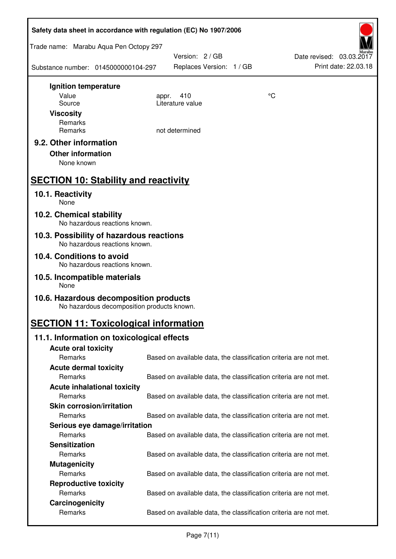| Safety data sheet in accordance with regulation (EC) No 1907/2006                    |                                                                   |                 |                                                  |  |
|--------------------------------------------------------------------------------------|-------------------------------------------------------------------|-----------------|--------------------------------------------------|--|
| Trade name: Marabu Aqua Pen Octopy 297                                               |                                                                   |                 |                                                  |  |
| Substance number: 0145000000104-297                                                  | Version: 2 / GB<br>Replaces Version: 1 / GB                       |                 | Date revised: 03.03.2017<br>Print date: 22.03.18 |  |
| Ignition temperature                                                                 |                                                                   |                 |                                                  |  |
| Value<br>Source                                                                      | 410<br>appr.<br>Literature value                                  | $\rm ^{\circ}C$ |                                                  |  |
| <b>Viscosity</b>                                                                     |                                                                   |                 |                                                  |  |
| Remarks                                                                              |                                                                   |                 |                                                  |  |
| Remarks                                                                              | not determined                                                    |                 |                                                  |  |
| 9.2. Other information<br><b>Other information</b><br>None known                     |                                                                   |                 |                                                  |  |
| <b>SECTION 10: Stability and reactivity</b>                                          |                                                                   |                 |                                                  |  |
| 10.1. Reactivity<br>None                                                             |                                                                   |                 |                                                  |  |
| 10.2. Chemical stability<br>No hazardous reactions known.                            |                                                                   |                 |                                                  |  |
| 10.3. Possibility of hazardous reactions<br>No hazardous reactions known.            |                                                                   |                 |                                                  |  |
| 10.4. Conditions to avoid<br>No hazardous reactions known.                           |                                                                   |                 |                                                  |  |
| 10.5. Incompatible materials<br>None                                                 |                                                                   |                 |                                                  |  |
| 10.6. Hazardous decomposition products<br>No hazardous decomposition products known. |                                                                   |                 |                                                  |  |
| <b>SECTION 11: Toxicological information</b>                                         |                                                                   |                 |                                                  |  |
| 11.1. Information on toxicological effects                                           |                                                                   |                 |                                                  |  |
| <b>Acute oral toxicity</b>                                                           |                                                                   |                 |                                                  |  |
| Remarks                                                                              | Based on available data, the classification criteria are not met. |                 |                                                  |  |
| <b>Acute dermal toxicity</b><br>Remarks                                              | Based on available data, the classification criteria are not met. |                 |                                                  |  |
| <b>Acute inhalational toxicity</b>                                                   |                                                                   |                 |                                                  |  |
| Remarks                                                                              | Based on available data, the classification criteria are not met. |                 |                                                  |  |
| <b>Skin corrosion/irritation</b>                                                     |                                                                   |                 |                                                  |  |
| Remarks                                                                              | Based on available data, the classification criteria are not met. |                 |                                                  |  |
| Serious eye damage/irritation                                                        |                                                                   |                 |                                                  |  |
| Remarks                                                                              | Based on available data, the classification criteria are not met. |                 |                                                  |  |
| <b>Sensitization</b>                                                                 |                                                                   |                 |                                                  |  |
| Remarks                                                                              | Based on available data, the classification criteria are not met. |                 |                                                  |  |
| <b>Mutagenicity</b><br>Remarks                                                       | Based on available data, the classification criteria are not met. |                 |                                                  |  |
| <b>Reproductive toxicity</b>                                                         |                                                                   |                 |                                                  |  |
| Remarks                                                                              | Based on available data, the classification criteria are not met. |                 |                                                  |  |
| Carcinogenicity                                                                      |                                                                   |                 |                                                  |  |
| Remarks                                                                              | Based on available data, the classification criteria are not met. |                 |                                                  |  |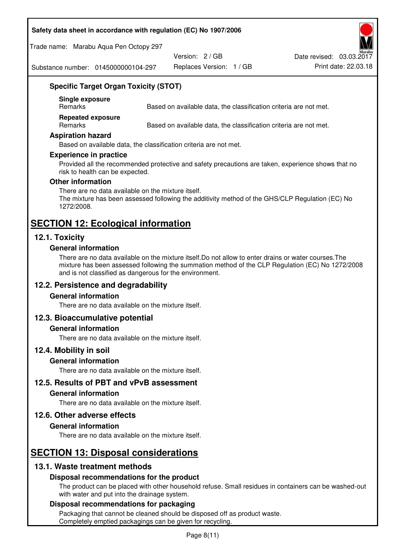#### **Safety data sheet in accordance with regulation (EC) No 1907/2006**

Trade name: Marabu Aqua Pen Octopy 297

Version: 2 / GB

Replaces Version: 1 / GB Print date: 22.03.18 Date revised: 03.03.2017

Substance number: 0145000000104-297

## **Specific Target Organ Toxicity (STOT)**

**Single exposure** 

Based on available data, the classification criteria are not met.

**Repeated exposure** 

Remarks Based on available data, the classification criteria are not met.

#### **Aspiration hazard**

Based on available data, the classification criteria are not met.

#### **Experience in practice**

Provided all the recommended protective and safety precautions are taken, experience shows that no risk to health can be expected.

#### **Other information**

There are no data available on the mixture itself. The mixture has been assessed following the additivity method of the GHS/CLP Regulation (EC) No 1272/2008.

# **SECTION 12: Ecological information**

## **12.1. Toxicity**

#### **General information**

There are no data available on the mixture itself.Do not allow to enter drains or water courses.The mixture has been assessed following the summation method of the CLP Regulation (EC) No 1272/2008 and is not classified as dangerous for the environment.

## **12.2. Persistence and degradability**

#### **General information**

There are no data available on the mixture itself.

#### **12.3. Bioaccumulative potential**

#### **General information**

There are no data available on the mixture itself.

#### **12.4. Mobility in soil**

#### **General information**

There are no data available on the mixture itself.

**12.5. Results of PBT and vPvB assessment** 

#### **General information**

There are no data available on the mixture itself.

#### **12.6. Other adverse effects**

#### **General information**

There are no data available on the mixture itself.

## **SECTION 13: Disposal considerations**

## **13.1. Waste treatment methods**

#### **Disposal recommendations for the product**

The product can be placed with other household refuse. Small residues in containers can be washed-out with water and put into the drainage system.

#### **Disposal recommendations for packaging**

Packaging that cannot be cleaned should be disposed off as product waste. Completely emptied packagings can be given for recycling.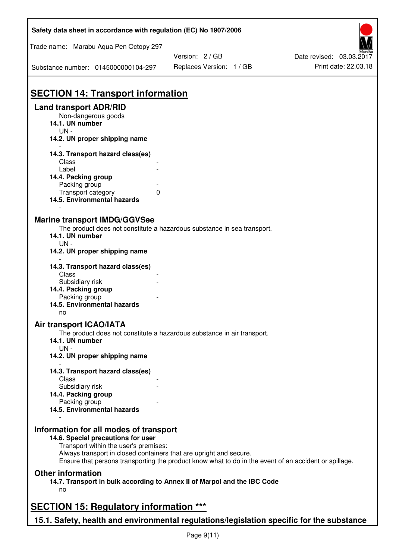| Safety data sheet in accordance with regulation (EC) No 1907/2006                                     |                          |                          |  |  |
|-------------------------------------------------------------------------------------------------------|--------------------------|--------------------------|--|--|
| Trade name: Marabu Aqua Pen Octopy 297                                                                |                          |                          |  |  |
|                                                                                                       | Version: 2 / GB          | Date revised: 03.03.2017 |  |  |
| Substance number: 0145000000104-297                                                                   | Replaces Version: 1 / GB | Print date: 22.03.18     |  |  |
| <b>SECTION 14: Transport information</b>                                                              |                          |                          |  |  |
|                                                                                                       |                          |                          |  |  |
| <b>Land transport ADR/RID</b><br>Non-dangerous goods<br>14.1. UN number                               |                          |                          |  |  |
| $UN -$<br>14.2. UN proper shipping name                                                               |                          |                          |  |  |
| 14.3. Transport hazard class(es)                                                                      |                          |                          |  |  |
| Class                                                                                                 |                          |                          |  |  |
| Label                                                                                                 |                          |                          |  |  |
| 14.4. Packing group                                                                                   |                          |                          |  |  |
| Packing group                                                                                         |                          |                          |  |  |
| Transport category<br>0                                                                               |                          |                          |  |  |
| 14.5. Environmental hazards                                                                           |                          |                          |  |  |
| <b>Marine transport IMDG/GGVSee</b>                                                                   |                          |                          |  |  |
| The product does not constitute a hazardous substance in sea transport.                               |                          |                          |  |  |
| 14.1. UN number                                                                                       |                          |                          |  |  |
| $UN -$                                                                                                |                          |                          |  |  |
| 14.2. UN proper shipping name                                                                         |                          |                          |  |  |
| 14.3. Transport hazard class(es)                                                                      |                          |                          |  |  |
| Class                                                                                                 |                          |                          |  |  |
| Subsidiary risk                                                                                       |                          |                          |  |  |
| 14.4. Packing group                                                                                   |                          |                          |  |  |
| Packing group                                                                                         |                          |                          |  |  |
| 14.5. Environmental hazards                                                                           |                          |                          |  |  |
| no                                                                                                    |                          |                          |  |  |
| <b>Air transport ICAO/IATA</b>                                                                        |                          |                          |  |  |
| The product does not constitute a hazardous substance in air transport.<br>14.1. UN number            |                          |                          |  |  |
| $UN -$<br>14.2. UN proper shipping name                                                               |                          |                          |  |  |
|                                                                                                       |                          |                          |  |  |
| 14.3. Transport hazard class(es)                                                                      |                          |                          |  |  |
| Class                                                                                                 |                          |                          |  |  |
| Subsidiary risk<br>14.4. Packing group                                                                |                          |                          |  |  |
| Packing group                                                                                         |                          |                          |  |  |
| 14.5. Environmental hazards                                                                           |                          |                          |  |  |
| Information for all modes of transport<br>14.6. Special precautions for user                          |                          |                          |  |  |
| Transport within the user's premises:                                                                 |                          |                          |  |  |
| Always transport in closed containers that are upright and secure.                                    |                          |                          |  |  |
| Ensure that persons transporting the product know what to do in the event of an accident or spillage. |                          |                          |  |  |
| <b>Other information</b>                                                                              |                          |                          |  |  |
| 14.7. Transport in bulk according to Annex II of Marpol and the IBC Code                              |                          |                          |  |  |
| no                                                                                                    |                          |                          |  |  |
| <b>SECTION 15: Regulatory information ***</b>                                                         |                          |                          |  |  |
| 15.1. Safety, health and environmental regulations/legislation specific for the substance             |                          |                          |  |  |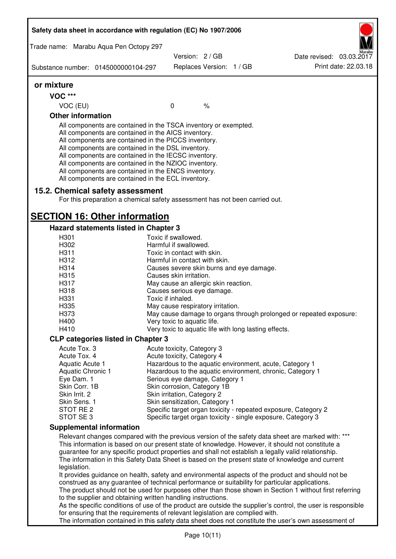| Safety data sheet in accordance with regulation (EC) No 1907/2006 |                                                                                                                                                                                                                                                                                                                                                                                                                                                                   |                                                            |               |  |                                                                                                                                                                                                                                                                                                                                                                                                                  |
|-------------------------------------------------------------------|-------------------------------------------------------------------------------------------------------------------------------------------------------------------------------------------------------------------------------------------------------------------------------------------------------------------------------------------------------------------------------------------------------------------------------------------------------------------|------------------------------------------------------------|---------------|--|------------------------------------------------------------------------------------------------------------------------------------------------------------------------------------------------------------------------------------------------------------------------------------------------------------------------------------------------------------------------------------------------------------------|
|                                                                   | Trade name: Marabu Aqua Pen Octopy 297                                                                                                                                                                                                                                                                                                                                                                                                                            |                                                            |               |  |                                                                                                                                                                                                                                                                                                                                                                                                                  |
|                                                                   | Substance number: 0145000000104-297                                                                                                                                                                                                                                                                                                                                                                                                                               | Version: 2 / GB<br>Replaces Version: 1 / GB                |               |  | Date revised: 03.03.2017<br>Print date: 22.03.18                                                                                                                                                                                                                                                                                                                                                                 |
|                                                                   |                                                                                                                                                                                                                                                                                                                                                                                                                                                                   |                                                            |               |  |                                                                                                                                                                                                                                                                                                                                                                                                                  |
| or mixture                                                        |                                                                                                                                                                                                                                                                                                                                                                                                                                                                   |                                                            |               |  |                                                                                                                                                                                                                                                                                                                                                                                                                  |
| <b>VOC ***</b>                                                    |                                                                                                                                                                                                                                                                                                                                                                                                                                                                   |                                                            |               |  |                                                                                                                                                                                                                                                                                                                                                                                                                  |
| VOC (EU)                                                          |                                                                                                                                                                                                                                                                                                                                                                                                                                                                   | $\mathbf 0$                                                | $\frac{1}{6}$ |  |                                                                                                                                                                                                                                                                                                                                                                                                                  |
| <b>Other information</b>                                          |                                                                                                                                                                                                                                                                                                                                                                                                                                                                   |                                                            |               |  |                                                                                                                                                                                                                                                                                                                                                                                                                  |
|                                                                   | All components are contained in the TSCA inventory or exempted.<br>All components are contained in the AICS inventory.<br>All components are contained in the PICCS inventory.<br>All components are contained in the DSL inventory.<br>All components are contained in the IECSC inventory.<br>All components are contained in the NZIOC inventory.<br>All components are contained in the ENCS inventory.<br>All components are contained in the ECL inventory. |                                                            |               |  |                                                                                                                                                                                                                                                                                                                                                                                                                  |
|                                                                   | 15.2. Chemical safety assessment<br>For this preparation a chemical safety assessment has not been carried out.                                                                                                                                                                                                                                                                                                                                                   |                                                            |               |  |                                                                                                                                                                                                                                                                                                                                                                                                                  |
|                                                                   | <b>SECTION 16: Other information</b>                                                                                                                                                                                                                                                                                                                                                                                                                              |                                                            |               |  |                                                                                                                                                                                                                                                                                                                                                                                                                  |
|                                                                   | Hazard statements listed in Chapter 3                                                                                                                                                                                                                                                                                                                                                                                                                             |                                                            |               |  |                                                                                                                                                                                                                                                                                                                                                                                                                  |
| H301<br>H302                                                      |                                                                                                                                                                                                                                                                                                                                                                                                                                                                   | Toxic if swallowed.<br>Harmful if swallowed.               |               |  |                                                                                                                                                                                                                                                                                                                                                                                                                  |
| H311                                                              |                                                                                                                                                                                                                                                                                                                                                                                                                                                                   | Toxic in contact with skin.                                |               |  |                                                                                                                                                                                                                                                                                                                                                                                                                  |
| H312                                                              |                                                                                                                                                                                                                                                                                                                                                                                                                                                                   | Harmful in contact with skin.                              |               |  |                                                                                                                                                                                                                                                                                                                                                                                                                  |
| H314                                                              |                                                                                                                                                                                                                                                                                                                                                                                                                                                                   | Causes severe skin burns and eye damage.                   |               |  |                                                                                                                                                                                                                                                                                                                                                                                                                  |
| H315                                                              |                                                                                                                                                                                                                                                                                                                                                                                                                                                                   | Causes skin irritation.                                    |               |  |                                                                                                                                                                                                                                                                                                                                                                                                                  |
| H317                                                              |                                                                                                                                                                                                                                                                                                                                                                                                                                                                   | May cause an allergic skin reaction.                       |               |  |                                                                                                                                                                                                                                                                                                                                                                                                                  |
| H318                                                              |                                                                                                                                                                                                                                                                                                                                                                                                                                                                   | Causes serious eye damage.                                 |               |  |                                                                                                                                                                                                                                                                                                                                                                                                                  |
| H331                                                              |                                                                                                                                                                                                                                                                                                                                                                                                                                                                   | Toxic if inhaled.                                          |               |  |                                                                                                                                                                                                                                                                                                                                                                                                                  |
| H335                                                              |                                                                                                                                                                                                                                                                                                                                                                                                                                                                   | May cause respiratory irritation.                          |               |  |                                                                                                                                                                                                                                                                                                                                                                                                                  |
| H373                                                              |                                                                                                                                                                                                                                                                                                                                                                                                                                                                   |                                                            |               |  | May cause damage to organs through prolonged or repeated exposure:                                                                                                                                                                                                                                                                                                                                               |
| H400                                                              |                                                                                                                                                                                                                                                                                                                                                                                                                                                                   | Very toxic to aquatic life.                                |               |  |                                                                                                                                                                                                                                                                                                                                                                                                                  |
| H410                                                              |                                                                                                                                                                                                                                                                                                                                                                                                                                                                   | Very toxic to aquatic life with long lasting effects.      |               |  |                                                                                                                                                                                                                                                                                                                                                                                                                  |
|                                                                   | <b>CLP categories listed in Chapter 3</b>                                                                                                                                                                                                                                                                                                                                                                                                                         |                                                            |               |  |                                                                                                                                                                                                                                                                                                                                                                                                                  |
| Acute Tox. 3                                                      |                                                                                                                                                                                                                                                                                                                                                                                                                                                                   | Acute toxicity, Category 3                                 |               |  |                                                                                                                                                                                                                                                                                                                                                                                                                  |
| Acute Tox. 4                                                      |                                                                                                                                                                                                                                                                                                                                                                                                                                                                   | Acute toxicity, Category 4                                 |               |  |                                                                                                                                                                                                                                                                                                                                                                                                                  |
| Aquatic Acute 1                                                   |                                                                                                                                                                                                                                                                                                                                                                                                                                                                   |                                                            |               |  | Hazardous to the aquatic environment, acute, Category 1                                                                                                                                                                                                                                                                                                                                                          |
| <b>Aquatic Chronic 1</b>                                          |                                                                                                                                                                                                                                                                                                                                                                                                                                                                   |                                                            |               |  | Hazardous to the aquatic environment, chronic, Category 1                                                                                                                                                                                                                                                                                                                                                        |
| Eye Dam. 1<br>Skin Corr. 1B                                       |                                                                                                                                                                                                                                                                                                                                                                                                                                                                   | Serious eye damage, Category 1                             |               |  |                                                                                                                                                                                                                                                                                                                                                                                                                  |
| Skin Irrit. 2                                                     |                                                                                                                                                                                                                                                                                                                                                                                                                                                                   | Skin corrosion, Category 1B<br>Skin irritation, Category 2 |               |  |                                                                                                                                                                                                                                                                                                                                                                                                                  |
| Skin Sens. 1                                                      |                                                                                                                                                                                                                                                                                                                                                                                                                                                                   | Skin sensitization, Category 1                             |               |  |                                                                                                                                                                                                                                                                                                                                                                                                                  |
| STOT RE 2                                                         |                                                                                                                                                                                                                                                                                                                                                                                                                                                                   |                                                            |               |  | Specific target organ toxicity - repeated exposure, Category 2                                                                                                                                                                                                                                                                                                                                                   |
| STOT SE 3                                                         |                                                                                                                                                                                                                                                                                                                                                                                                                                                                   |                                                            |               |  | Specific target organ toxicity - single exposure, Category 3                                                                                                                                                                                                                                                                                                                                                     |
|                                                                   | <b>Supplemental information</b>                                                                                                                                                                                                                                                                                                                                                                                                                                   |                                                            |               |  |                                                                                                                                                                                                                                                                                                                                                                                                                  |
| legislation.                                                      |                                                                                                                                                                                                                                                                                                                                                                                                                                                                   |                                                            |               |  | Relevant changes compared with the previous version of the safety data sheet are marked with: ***<br>This information is based on our present state of knowledge. However, it should not constitute a<br>guarantee for any specific product properties and shall not establish a legally valid relationship.<br>The information in this Safety Data Sheet is based on the present state of knowledge and current |
|                                                                   | construed as any guarantee of technical performance or suitability for particular applications.<br>to the supplier and obtaining written handling instructions.                                                                                                                                                                                                                                                                                                   |                                                            |               |  | It provides guidance on health, safety and environmental aspects of the product and should not be<br>The product should not be used for purposes other than those shown in Section 1 without first referring                                                                                                                                                                                                     |
|                                                                   | for ensuring that the requirements of relevant legislation are complied with.                                                                                                                                                                                                                                                                                                                                                                                     |                                                            |               |  | As the specific conditions of use of the product are outside the supplier's control, the user is responsible                                                                                                                                                                                                                                                                                                     |
|                                                                   |                                                                                                                                                                                                                                                                                                                                                                                                                                                                   |                                                            |               |  | The information contained in this safety data sheet does not constitute the user's own assessment of                                                                                                                                                                                                                                                                                                             |